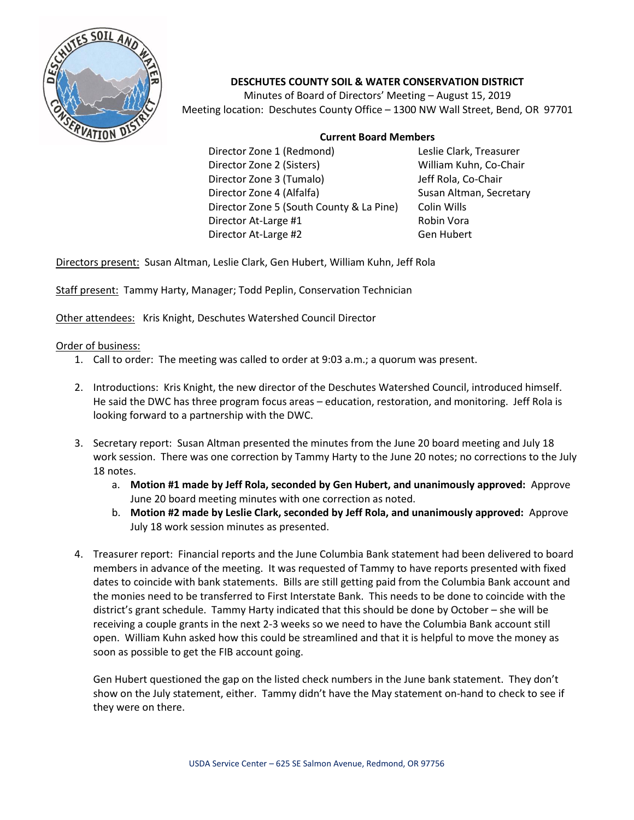

## **DESCHUTES COUNTY SOIL & WATER CONSERVATION DISTRICT**

Minutes of Board of Directors' Meeting – August 15, 2019 Meeting location: Deschutes County Office – 1300 NW Wall Street, Bend, OR 97701

## **Current Board Members**

Director Zone 1 (Redmond) Leslie Clark, Treasurer Director Zone 2 (Sisters) William Kuhn, Co-Chair Director Zone 3 (Tumalo) Jeff Rola, Co-Chair Director Zone 4 (Alfalfa) Susan Altman, Secretary Director Zone 5 (South County & La Pine) Colin Wills Director At-Large #1 Robin Vora Director At-Large #2 Gen Hubert

Directors present: Susan Altman, Leslie Clark, Gen Hubert, William Kuhn, Jeff Rola

Staff present: Tammy Harty, Manager; Todd Peplin, Conservation Technician

Other attendees: Kris Knight, Deschutes Watershed Council Director

## Order of business:

- 1. Call to order: The meeting was called to order at 9:03 a.m.; a quorum was present.
- 2. Introductions: Kris Knight, the new director of the Deschutes Watershed Council, introduced himself. He said the DWC has three program focus areas – education, restoration, and monitoring. Jeff Rola is looking forward to a partnership with the DWC.
- 3. Secretary report: Susan Altman presented the minutes from the June 20 board meeting and July 18 work session. There was one correction by Tammy Harty to the June 20 notes; no corrections to the July 18 notes.
	- a. **Motion #1 made by Jeff Rola, seconded by Gen Hubert, and unanimously approved:** Approve June 20 board meeting minutes with one correction as noted.
	- b. **Motion #2 made by Leslie Clark, seconded by Jeff Rola, and unanimously approved:** Approve July 18 work session minutes as presented.
- 4. Treasurer report: Financial reports and the June Columbia Bank statement had been delivered to board members in advance of the meeting. It was requested of Tammy to have reports presented with fixed dates to coincide with bank statements. Bills are still getting paid from the Columbia Bank account and the monies need to be transferred to First Interstate Bank. This needs to be done to coincide with the district's grant schedule. Tammy Harty indicated that this should be done by October – she will be receiving a couple grants in the next 2-3 weeks so we need to have the Columbia Bank account still open. William Kuhn asked how this could be streamlined and that it is helpful to move the money as soon as possible to get the FIB account going.

Gen Hubert questioned the gap on the listed check numbers in the June bank statement. They don't show on the July statement, either. Tammy didn't have the May statement on-hand to check to see if they were on there.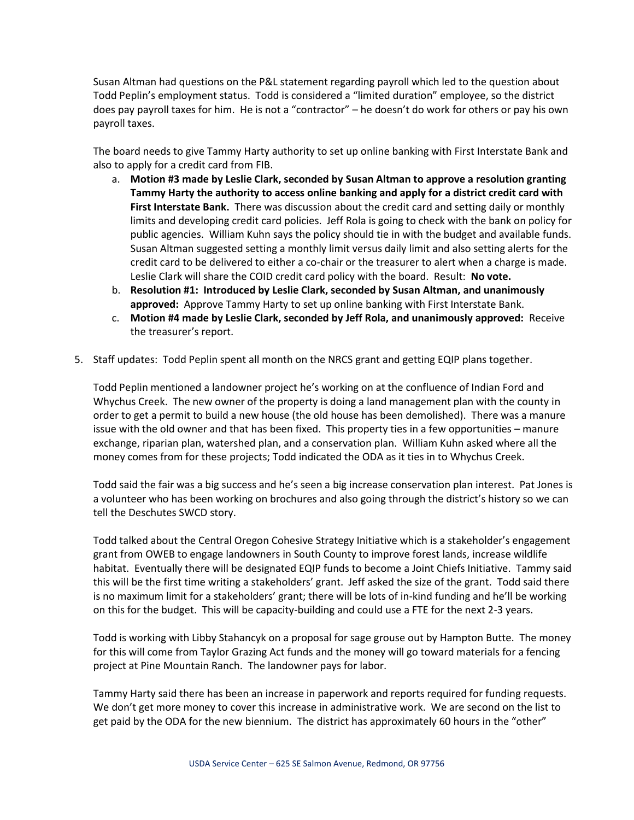Susan Altman had questions on the P&L statement regarding payroll which led to the question about Todd Peplin's employment status. Todd is considered a "limited duration" employee, so the district does pay payroll taxes for him. He is not a "contractor" – he doesn't do work for others or pay his own payroll taxes.

The board needs to give Tammy Harty authority to set up online banking with First Interstate Bank and also to apply for a credit card from FIB.

- a. **Motion #3 made by Leslie Clark, seconded by Susan Altman to approve a resolution granting Tammy Harty the authority to access online banking and apply for a district credit card with First Interstate Bank.** There was discussion about the credit card and setting daily or monthly limits and developing credit card policies. Jeff Rola is going to check with the bank on policy for public agencies. William Kuhn says the policy should tie in with the budget and available funds. Susan Altman suggested setting a monthly limit versus daily limit and also setting alerts for the credit card to be delivered to either a co-chair or the treasurer to alert when a charge is made. Leslie Clark will share the COID credit card policy with the board. Result: **No vote.**
- b. **Resolution #1: Introduced by Leslie Clark, seconded by Susan Altman, and unanimously approved:** Approve Tammy Harty to set up online banking with First Interstate Bank.
- c. **Motion #4 made by Leslie Clark, seconded by Jeff Rola, and unanimously approved:** Receive the treasurer's report.
- 5. Staff updates: Todd Peplin spent all month on the NRCS grant and getting EQIP plans together.

Todd Peplin mentioned a landowner project he's working on at the confluence of Indian Ford and Whychus Creek. The new owner of the property is doing a land management plan with the county in order to get a permit to build a new house (the old house has been demolished). There was a manure issue with the old owner and that has been fixed. This property ties in a few opportunities – manure exchange, riparian plan, watershed plan, and a conservation plan. William Kuhn asked where all the money comes from for these projects; Todd indicated the ODA as it ties in to Whychus Creek.

Todd said the fair was a big success and he's seen a big increase conservation plan interest. Pat Jones is a volunteer who has been working on brochures and also going through the district's history so we can tell the Deschutes SWCD story.

Todd talked about the Central Oregon Cohesive Strategy Initiative which is a stakeholder's engagement grant from OWEB to engage landowners in South County to improve forest lands, increase wildlife habitat. Eventually there will be designated EQIP funds to become a Joint Chiefs Initiative. Tammy said this will be the first time writing a stakeholders' grant. Jeff asked the size of the grant. Todd said there is no maximum limit for a stakeholders' grant; there will be lots of in-kind funding and he'll be working on this for the budget. This will be capacity-building and could use a FTE for the next 2-3 years.

Todd is working with Libby Stahancyk on a proposal for sage grouse out by Hampton Butte. The money for this will come from Taylor Grazing Act funds and the money will go toward materials for a fencing project at Pine Mountain Ranch. The landowner pays for labor.

Tammy Harty said there has been an increase in paperwork and reports required for funding requests. We don't get more money to cover this increase in administrative work. We are second on the list to get paid by the ODA for the new biennium. The district has approximately 60 hours in the "other"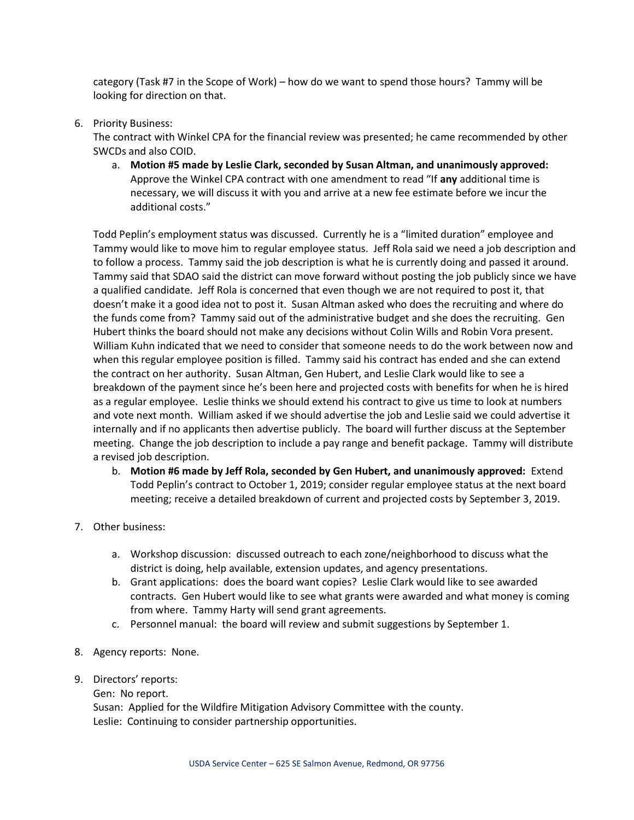category (Task #7 in the Scope of Work) – how do we want to spend those hours? Tammy will be looking for direction on that.

6. Priority Business:

The contract with Winkel CPA for the financial review was presented; he came recommended by other SWCDs and also COID.

a. **Motion #5 made by Leslie Clark, seconded by Susan Altman, and unanimously approved:** Approve the Winkel CPA contract with one amendment to read "If **any** additional time is necessary, we will discuss it with you and arrive at a new fee estimate before we incur the additional costs."

Todd Peplin's employment status was discussed. Currently he is a "limited duration" employee and Tammy would like to move him to regular employee status. Jeff Rola said we need a job description and to follow a process. Tammy said the job description is what he is currently doing and passed it around. Tammy said that SDAO said the district can move forward without posting the job publicly since we have a qualified candidate. Jeff Rola is concerned that even though we are not required to post it, that doesn't make it a good idea not to post it. Susan Altman asked who does the recruiting and where do the funds come from? Tammy said out of the administrative budget and she does the recruiting. Gen Hubert thinks the board should not make any decisions without Colin Wills and Robin Vora present. William Kuhn indicated that we need to consider that someone needs to do the work between now and when this regular employee position is filled. Tammy said his contract has ended and she can extend the contract on her authority. Susan Altman, Gen Hubert, and Leslie Clark would like to see a breakdown of the payment since he's been here and projected costs with benefits for when he is hired as a regular employee. Leslie thinks we should extend his contract to give us time to look at numbers and vote next month. William asked if we should advertise the job and Leslie said we could advertise it internally and if no applicants then advertise publicly. The board will further discuss at the September meeting. Change the job description to include a pay range and benefit package. Tammy will distribute a revised job description.

- b. **Motion #6 made by Jeff Rola, seconded by Gen Hubert, and unanimously approved:** Extend Todd Peplin's contract to October 1, 2019; consider regular employee status at the next board meeting; receive a detailed breakdown of current and projected costs by September 3, 2019.
- 7. Other business:
	- a. Workshop discussion: discussed outreach to each zone/neighborhood to discuss what the district is doing, help available, extension updates, and agency presentations.
	- b. Grant applications: does the board want copies? Leslie Clark would like to see awarded contracts. Gen Hubert would like to see what grants were awarded and what money is coming from where. Tammy Harty will send grant agreements.
	- c. Personnel manual: the board will review and submit suggestions by September 1.
- 8. Agency reports: None.
- 9. Directors' reports:

Gen: No report.

Susan: Applied for the Wildfire Mitigation Advisory Committee with the county. Leslie: Continuing to consider partnership opportunities.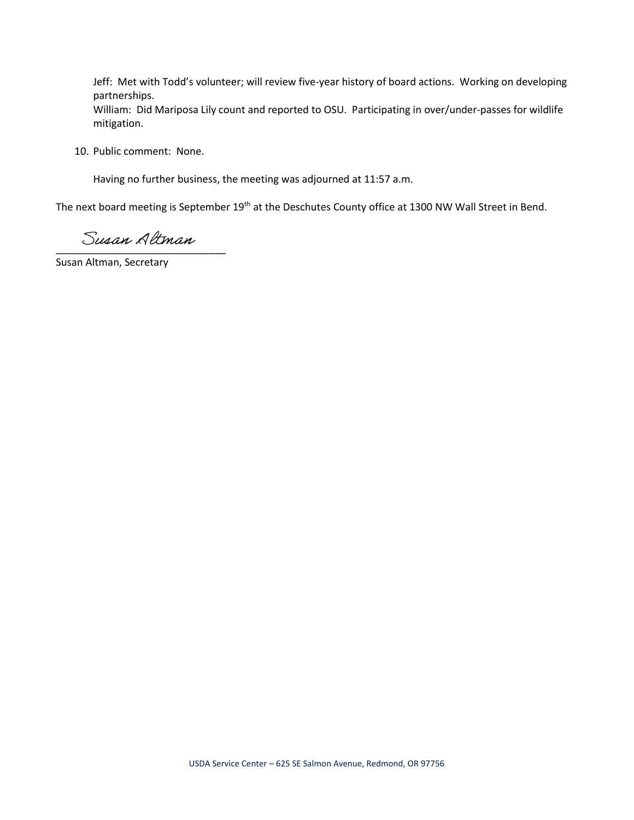Jeff: Met with Todd's volunteer; will review five-year history of board actions. Working on developing partnerships.

William: Did Mariposa Lily count and reported to OSU. Participating in over/under-passes for wildlife mitigation.

10. Public comment: None.

Having no further business, the meeting was adjourned at 11:57 a.m.

The next board meeting is September 19<sup>th</sup> at the Deschutes County office at 1300 NW Wall Street in Bend.

Susan Altman

Susan Altman, Secretary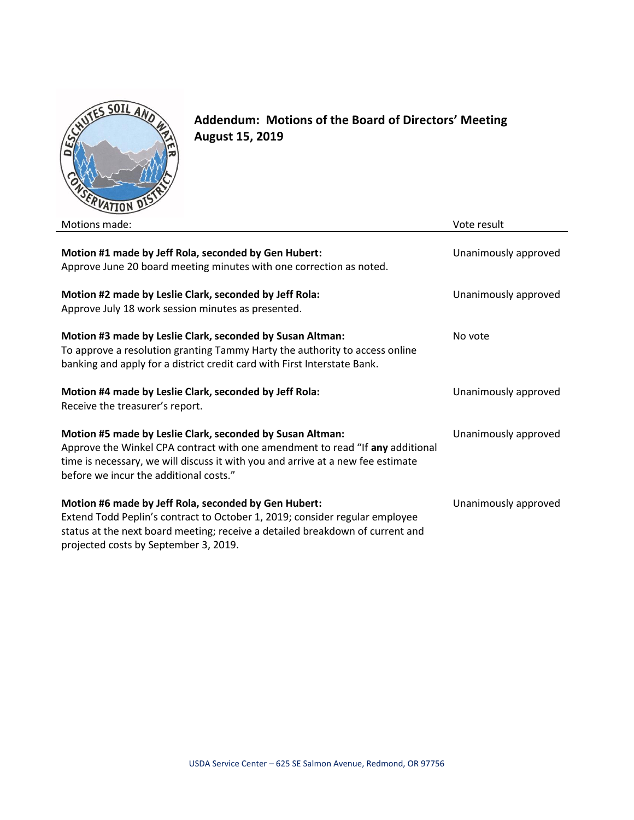

**Addendum: Motions of the Board of Directors' Meeting August 15, 2019**

| Motions made:                                                                                                                                                                                                                                                           | Vote result          |
|-------------------------------------------------------------------------------------------------------------------------------------------------------------------------------------------------------------------------------------------------------------------------|----------------------|
| Motion #1 made by Jeff Rola, seconded by Gen Hubert:<br>Approve June 20 board meeting minutes with one correction as noted.                                                                                                                                             | Unanimously approved |
| Motion #2 made by Leslie Clark, seconded by Jeff Rola:<br>Approve July 18 work session minutes as presented.                                                                                                                                                            | Unanimously approved |
| Motion #3 made by Leslie Clark, seconded by Susan Altman:<br>To approve a resolution granting Tammy Harty the authority to access online<br>banking and apply for a district credit card with First Interstate Bank.                                                    | No vote              |
| Motion #4 made by Leslie Clark, seconded by Jeff Rola:<br>Receive the treasurer's report.                                                                                                                                                                               | Unanimously approved |
| Motion #5 made by Leslie Clark, seconded by Susan Altman:<br>Approve the Winkel CPA contract with one amendment to read "If any additional<br>time is necessary, we will discuss it with you and arrive at a new fee estimate<br>before we incur the additional costs." | Unanimously approved |
| Motion #6 made by Jeff Rola, seconded by Gen Hubert:<br>Extend Todd Peplin's contract to October 1, 2019; consider regular employee<br>status at the next board meeting; receive a detailed breakdown of current and<br>projected costs by September 3, 2019.           | Unanimously approved |